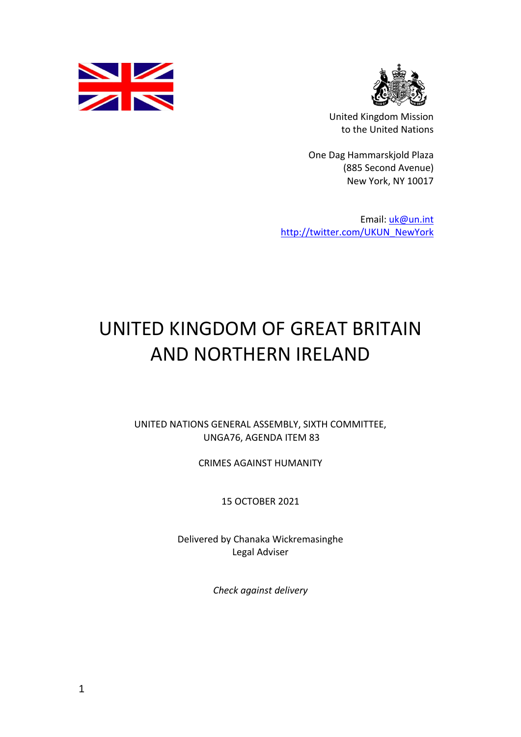



United Kingdom Mission to the United Nations

One Dag Hammarskjold Plaza (885 Second Avenue) New York, NY 10017

Email: [uk@un.int](mailto:uk@un.int) [http://twitter.com/UKUN\\_NewYork](http://twitter.com/UKUN_NewYork)

## UNITED KINGDOM OF GREAT BRITAIN AND NORTHERN IRELAND

UNITED NATIONS GENERAL ASSEMBLY, SIXTH COMMITTEE, UNGA76, AGENDA ITEM 83

CRIMES AGAINST HUMANITY

15 OCTOBER 2021

Delivered by Chanaka Wickremasinghe Legal Adviser

*Check against delivery*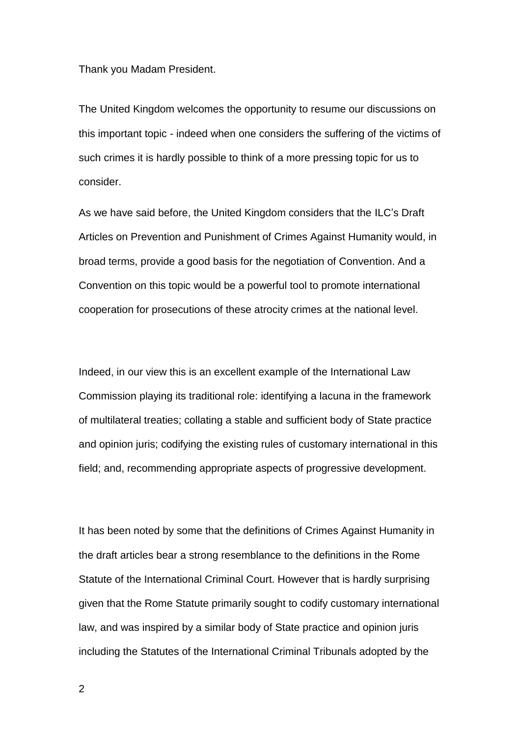Thank you Madam President.

The United Kingdom welcomes the opportunity to resume our discussions on this important topic - indeed when one considers the suffering of the victims of such crimes it is hardly possible to think of a more pressing topic for us to consider.

As we have said before, the United Kingdom considers that the ILC's Draft Articles on Prevention and Punishment of Crimes Against Humanity would, in broad terms, provide a good basis for the negotiation of Convention. And a Convention on this topic would be a powerful tool to promote international cooperation for prosecutions of these atrocity crimes at the national level.

Indeed, in our view this is an excellent example of the International Law Commission playing its traditional role: identifying a lacuna in the framework of multilateral treaties; collating a stable and sufficient body of State practice and opinion juris; codifying the existing rules of customary international in this field; and, recommending appropriate aspects of progressive development.

It has been noted by some that the definitions of Crimes Against Humanity in the draft articles bear a strong resemblance to the definitions in the Rome Statute of the International Criminal Court. However that is hardly surprising given that the Rome Statute primarily sought to codify customary international law, and was inspired by a similar body of State practice and opinion juris including the Statutes of the International Criminal Tribunals adopted by the

2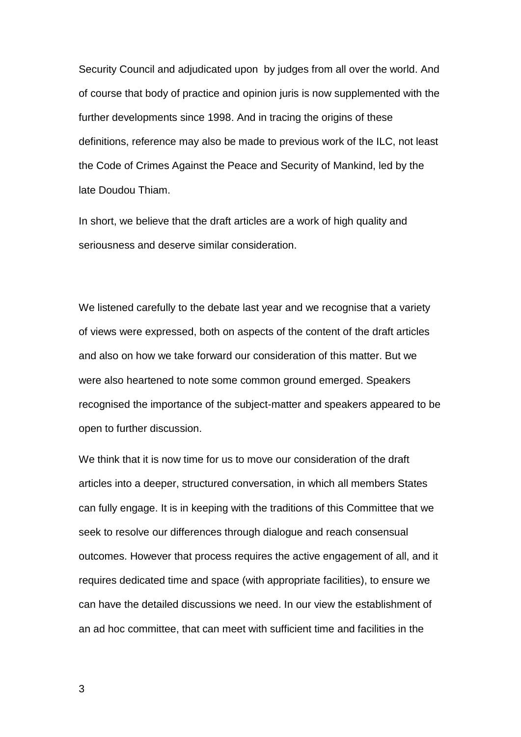Security Council and adjudicated upon by judges from all over the world. And of course that body of practice and opinion juris is now supplemented with the further developments since 1998. And in tracing the origins of these definitions, reference may also be made to previous work of the ILC, not least the Code of Crimes Against the Peace and Security of Mankind, led by the late Doudou Thiam.

In short, we believe that the draft articles are a work of high quality and seriousness and deserve similar consideration.

We listened carefully to the debate last year and we recognise that a variety of views were expressed, both on aspects of the content of the draft articles and also on how we take forward our consideration of this matter. But we were also heartened to note some common ground emerged. Speakers recognised the importance of the subject-matter and speakers appeared to be open to further discussion.

We think that it is now time for us to move our consideration of the draft articles into a deeper, structured conversation, in which all members States can fully engage. It is in keeping with the traditions of this Committee that we seek to resolve our differences through dialogue and reach consensual outcomes. However that process requires the active engagement of all, and it requires dedicated time and space (with appropriate facilities), to ensure we can have the detailed discussions we need. In our view the establishment of an ad hoc committee, that can meet with sufficient time and facilities in the

3